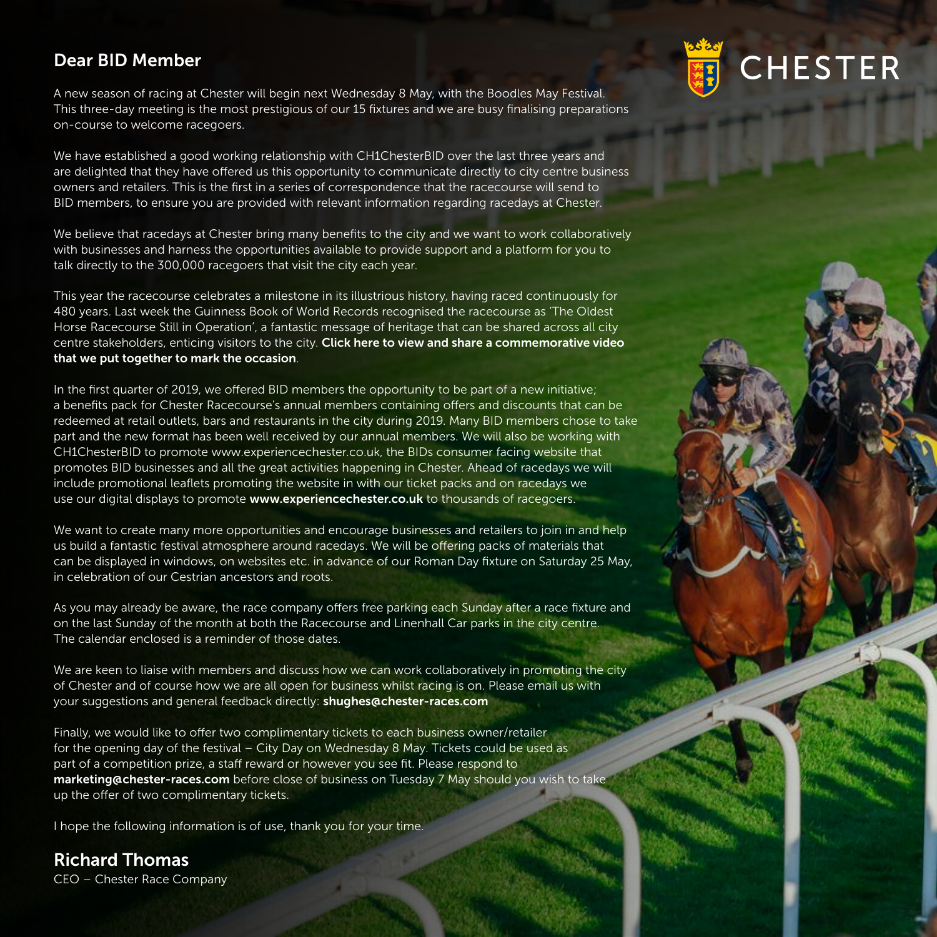## Dear BID Member

A new season of racing at Chester will begin next Wednesday 8 May, with the Boodles May Festival. This three-day meeting is the most prestigious of our 15 fixtures and we are busy finalising preparations on-course to welcome racegoers.

CHESTER

We have established a good working relationship with CH1ChesterBID over the last three years and are delighted that they have offered us this opportunity to communicate directly to city centre business owners and retailers. This is the first in a series of correspondence that the racecourse will send to BID members, to ensure you are provided with relevant information regarding racedays at Chester.

We believe that racedays at Chester bring many benefits to the city and we want to work collaboratively with businesses and harness the opportunities available to provide support and a platform for you to talk directly to the 300,000 racegoers that visit the city each year.

This year the racecourse celebrates a milestone in its illustrious history, having raced continuously for 480 years. Last week the Guinness Book of World Records recognised the racecourse as 'The Oldest Horse Racecourse Still in Operation', a fantastic message of heritage that can be shared across all city centre stakeholders, enticing visitors to the city. [Click here to view and share a commemorative video](https://www.youtube.com/watch?v=42RNl7pTQ7U ) [that we put together to mark the occasion](https://www.youtube.com/watch?v=42RNl7pTQ7U ).

In the first quarter of 2019, we offered BID members the opportunity to be part of a new initiative; a benefits pack for Chester Racecourse's annual members containing offers and discounts that can be redeemed at retail outlets, bars and restaurants in the city during 2019. Many BID members chose to take part and the new format has been well received by our annual members. We will also be working with CH1ChesterBID to promote www.experiencechester.co.uk, the BIDs consumer facing website that promotes BID businesses and all the great activities happening in Chester. Ahead of racedays we will include promotional leaflets promoting the website in with our ticket packs and on racedays we use our digital displays to promote [www.experiencechester.co.uk](http://www.experiencechester.co.uk) to thousands of racegoers.

We want to create many more opportunities and encourage businesses and retailers to join in and help us build a fantastic festival atmosphere around racedays. We will be offering packs of materials that can be displayed in windows, on websites etc. in advance of our Roman Day fixture on Saturday 25 May, in celebration of our Cestrian ancestors and roots.

As you may already be aware, the race company offers free parking each Sunday after a race fixture and on the last Sunday of the month at both the Racecourse and Linenhall Car parks in the city centre. The calendar enclosed is a reminder of those dates.

We are keen to liaise with members and discuss how we can work collaboratively in promoting the city of Chester and of course how we are all open for business whilst racing is on. Please email us with your suggestions and general feedback directly: [shughes@chester-races.com](mailto:shughes%40chester-races.com?subject=Racecourse%20Feedback)

Finally, we would like to offer two complimentary tickets to each business owner/retailer for the opening day of the festival – City Day on Wednesday 8 May. Tickets could be used as part of a competition prize, a staff reward or however you see fit. Please respond to [marketing@chester-races.com](http://marketing@chester-races.com) before close of business on Tuesday 7 May should you wish to take up the offer of two complimentary tickets.

I hope the following information is of use, thank you for your time.

Richard Thomas CEO – Chester Race Company